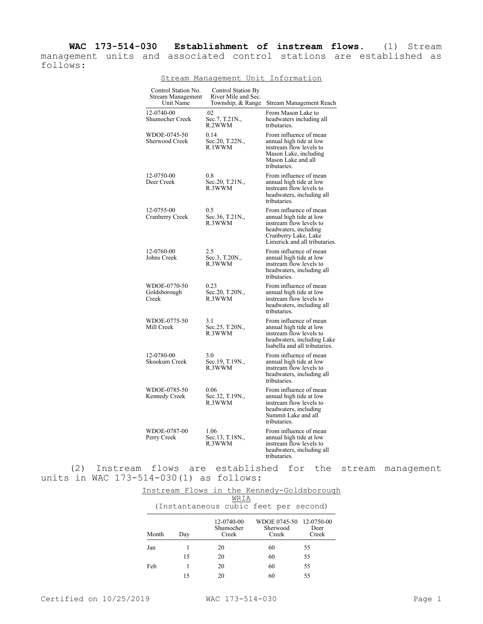**WAC 173-514-030 Establishment of instream flows.** (1) Stream management units and associated control stations are established as follows:

| Control Station No.<br>Stream Management<br>Unit Name | Control Station By<br>River Mile and Sec.<br>Township, & Range | Stream Management Reach                                                                                                                                        |
|-------------------------------------------------------|----------------------------------------------------------------|----------------------------------------------------------------------------------------------------------------------------------------------------------------|
| 12-0740-00<br><b>Shumocher Creek</b>                  | .02<br>Sec.7, T.21N.,<br>R.2WWM                                | From Mason Lake to<br>headwaters including all<br>tributaries.                                                                                                 |
| WDOE-0745-50<br>Sherwood Creek                        | 0.14<br>Sec.20, T.22N.,<br>R.1WWM                              | From influence of mean<br>annual high tide at low<br>instream flow levels to<br>Mason Lake, including<br>Mason Lake and all<br>tributaries.                    |
| 12-0750-00<br>Deer Creek                              | 0.8<br>Sec.20, T.21N.,<br>R.3WWM                               | From influence of mean<br>annual high tide at low<br>instream flow levels to<br>headwaters, including all<br>tributaries.                                      |
| 12-0755-00<br>Cranberry Creek                         | 0.5<br>Sec.36, T.21N.,<br>R.3WWM                               | From influence of mean<br>annual high tide at low<br>instream flow levels to<br>headwaters, including<br>Cranberry Lake, Lake<br>Limerick and all tributaries. |
| 12-0760-00<br>Johns Creek                             | 2.5<br>Sec.3, T.20N.,<br>R.3WWM                                | From influence of mean<br>annual high tide at low<br>instream flow levels to<br>headwaters, including all<br>tributaries.                                      |
| WDOE-0770-50<br>Goldsborough<br>Creek                 | 0.23<br>Sec.20, T.20N.,<br>R.3WWM                              | From influence of mean<br>annual high tide at low<br>instream flow levels to<br>headwaters, including all<br>tributaries.                                      |
| WDOE-0775-50<br>Mill Creek                            | 3.1<br>Sec.25, T.20N.,<br>R.3WWM                               | From influence of mean<br>annual high tide at low<br>instream flow levels to<br>headwaters, including Lake<br>Isabella and all tributaries.                    |
| 12-0780-00<br>Skookum Creek                           | 3.0<br>Sec.19, T.19N.,<br>R.3WWM                               | From influence of mean<br>annual high tide at low<br>instream flow levels to<br>headwaters, including all<br>tributaries.                                      |
| WDOE-0785-50<br>Kennedy Creek                         | 0.06<br>Sec.32, T.19N.,<br>R.3WWM                              | From influence of mean<br>annual high tide at low<br>instream flow levels to<br>headwaters, including<br>Summit Lake and all<br>tributaries.                   |
| WDOE-0787-00<br>Perry Creek                           | 1.06<br>Sec.13, T.18N.,<br>R.3WWM                              | From influence of mean<br>annual high tide at low<br>instream flow levels to<br>headwaters, including all<br>tributaries.                                      |

Stream Management Unit Information

(2) Instream flows are established for the stream management units in WAC 173-514-030(1) as follows:

|       |                                       |     |                                  |  |    |                   | Instream Flows in the Kennedy-Goldsborough |  |
|-------|---------------------------------------|-----|----------------------------------|--|----|-------------------|--------------------------------------------|--|
| WRIA  |                                       |     |                                  |  |    |                   |                                            |  |
|       | (Instantaneous cubic feet per second) |     |                                  |  |    |                   |                                            |  |
| Month |                                       | Day | 12-0740-00<br>Shumocher<br>Creek |  |    | Sherwood<br>Creek | WDOE 0745-50 12-0750-00<br>Deer<br>Creek   |  |
| Jan   |                                       |     | 20                               |  | 60 |                   | 55                                         |  |
|       |                                       | 15  | 20                               |  | 60 |                   | 55                                         |  |
| Feb   |                                       |     | 20                               |  | 60 |                   | 55                                         |  |
|       |                                       | 15  | 20                               |  | 60 |                   | 55                                         |  |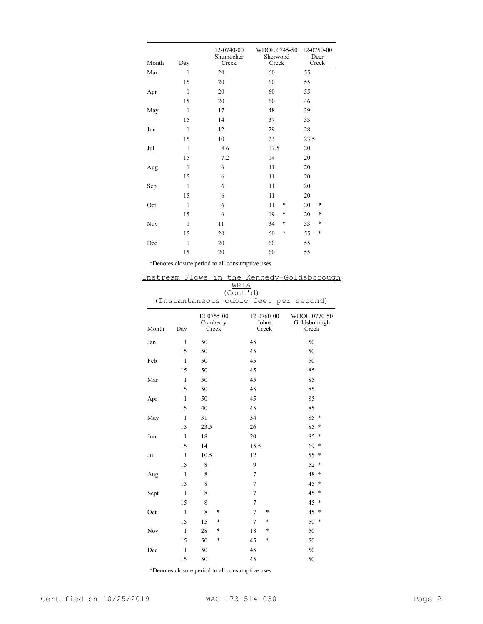| Month | Day          | 12-0740-00<br>Shumocher<br>Creek | WDOE 0745-50<br>Sherwood<br>Creek | 12-0750-00<br>Deer<br>Creek |
|-------|--------------|----------------------------------|-----------------------------------|-----------------------------|
| Mar   | $\mathbf{1}$ | 20                               | 60                                | 55                          |
|       | 15           | 20                               | 60                                | 55                          |
| Apr   | 1            | 20                               | 60                                | 55                          |
|       | 15           | 20                               | 60                                | 46                          |
| May   | $\mathbf{1}$ | 17                               | 48                                | 39                          |
|       | 15           | 14                               | 37                                | 33                          |
| Jun   | $\mathbf{1}$ | 12                               | 29                                | 28                          |
|       | 15           | 10                               | 23                                | 23.5                        |
| Jul   | $\mathbf{1}$ | 8.6                              | 17.5                              | 20                          |
|       | 15           | 7.2                              | 14                                | 20                          |
| Aug   | $\mathbf{1}$ | 6                                | 11                                | 20                          |
|       | 15           | 6                                | 11                                | 20                          |
| Sep   | $\mathbf{1}$ | 6                                | 11                                | 20                          |
|       | 15           | 6                                | 11                                | 20                          |
| Oct   | $\mathbf{1}$ | 6                                | *<br>11                           | *<br>20                     |
|       | 15           | 6                                | 19<br>$\ast$                      | $\ast$<br>20                |
| Nov   | $\mathbf{1}$ | 11                               | *<br>34                           | *<br>33                     |
|       | 15           | 20                               | $\ast$<br>60                      | *<br>55                     |
| Dec   | $\mathbf{1}$ | 20                               | 60                                | 55                          |
|       | 15           | 20                               | 60                                | 55                          |

\*Denotes closure period to all consumptive uses

## Instream Flows in the Kennedy-Goldsborough WRIA

(Cont'd)

(Instantaneous cubic feet per second)

| Month | Day          | 12-0755-00<br>Cranberry<br>Creek | 12-0760-00<br>Johns<br>Creek | WDOE-0770-50<br>Goldsborough<br>Creek |
|-------|--------------|----------------------------------|------------------------------|---------------------------------------|
| Jan   | $\mathbf{1}$ | 50                               | 45                           | 50                                    |
|       | 15           | 50                               | 45                           | 50                                    |
| Feb   | $\mathbf{1}$ | 50                               | 45                           | 50                                    |
|       | 15           | 50                               | 45                           | 85                                    |
| Mar   | $\mathbf{1}$ | 50                               | 45                           | 85                                    |
|       | 15           | 50                               | 45                           | 85                                    |
| Apr   | $\mathbf{1}$ | 50                               | 45                           | 85                                    |
|       | 15           | 40                               | 45                           | 85                                    |
| May   | $\mathbf{1}$ | 31                               | 34                           | $85*$                                 |
|       | 15           | 23.5                             | 26                           | 85<br>*                               |
| Jun   | $\mathbf{1}$ | 18                               | 20                           | 85<br>*                               |
|       | 15           | 14                               | 15.5                         | 69<br>$\ast$                          |
| Jul   | $\mathbf{1}$ | 10.5                             | 12                           | 55<br>$\ast$                          |
|       | 15           | 8                                | 9                            | 52<br>*                               |
| Aug   | $\mathbf{1}$ | 8                                | 7                            | 48<br>*                               |
|       | 15           | 8                                | 7                            | 45<br>*                               |
| Sept  | $\mathbf{1}$ | 8                                | 7                            | 45<br>$\ast$                          |
|       | 15           | 8                                | 7                            | 45<br>*                               |
| Oct   | $\mathbf{1}$ | 8<br>*                           | $\overline{7}$<br>*          | 45<br>*                               |
|       | 15           | 15<br>*                          | $\overline{7}$<br>*          | 50<br>$\ast$                          |
| Nov   | $\mathbf{1}$ | 28<br>*                          | *<br>18                      | 50                                    |
|       | 15           | 50<br>$\ast$                     | 45<br>*                      | 50                                    |
| Dec   | $\mathbf{1}$ | 50                               | 45                           | 50                                    |
|       | 15           | 50                               | 45                           | 50                                    |

\*Denotes closure period to all consumptive uses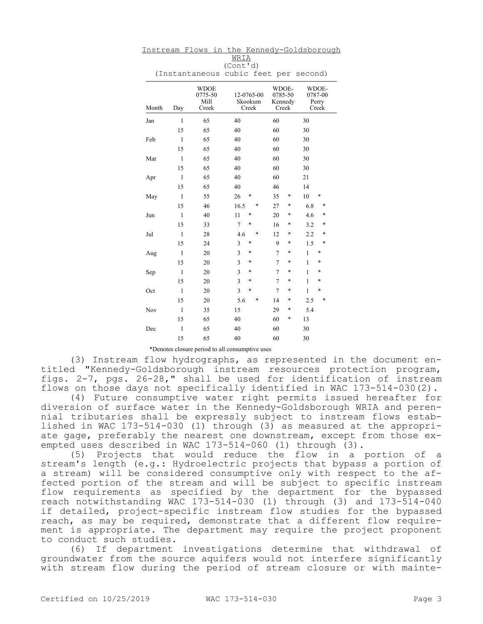| (Instantaneous cubic feet per<br>second) |              |                                         |                                |                                      |                                    |
|------------------------------------------|--------------|-----------------------------------------|--------------------------------|--------------------------------------|------------------------------------|
| Month                                    | Day          | <b>WDOE</b><br>0775-50<br>Mill<br>Creek | 12-0765-00<br>Skookum<br>Creek | WDOE-<br>0785-50<br>Kennedy<br>Creek | WDOE-<br>0787-00<br>Perry<br>Creek |
| Jan                                      | $\mathbf{1}$ | 65                                      | 40                             | 60                                   | 30                                 |
|                                          | 15           | 65                                      | 40                             | 60                                   | 30                                 |
| Feb                                      | $\mathbf{1}$ | 65                                      | 40                             | 60                                   | 30                                 |
|                                          | 15           | 65                                      | 40                             | 60                                   | 30                                 |
| Mar                                      | $\mathbf{1}$ | 65                                      | 40                             | 60                                   | 30                                 |
|                                          | 15           | 65                                      | 40                             | 60                                   | 30                                 |
| Apr                                      | $\mathbf{1}$ | 65                                      | 40                             | 60                                   | 21                                 |
|                                          | 15           | 65                                      | 40                             | 46                                   | 14                                 |
| May                                      | $\mathbf{1}$ | 55                                      | 26<br>*                        | 35<br>*                              | 10<br>*                            |
|                                          | 15           | 46                                      | *<br>16.5                      | 27<br>$\ast$                         | *<br>6.8                           |
| Jun                                      | $\mathbf{1}$ | 40                                      | 11<br>*                        | 20<br>*                              | 4.6<br>*                           |
|                                          | 15           | 33                                      | $\overline{7}$<br>*            | 16<br>*                              | 3.2<br>*                           |
| Jul                                      | $\mathbf{1}$ | 28                                      | 4.6<br>*                       | 12<br>$\ast$                         | *<br>2.2                           |
|                                          | 15           | 24                                      | 3<br>*                         | 9<br>*                               | *<br>1.5                           |
| Aug                                      | 1            | 20                                      | 3<br>$\ast$                    | $\overline{7}$<br>*                  | $\mathbf{1}$<br>*                  |
|                                          | 15           | 20                                      | $\overline{3}$<br>$\ast$       | 7<br>*                               | 1<br>$\ast$                        |
| Sep                                      | $\mathbf{1}$ | 20                                      | $\overline{3}$<br>*            | 7<br>*                               | *<br>1                             |
|                                          | 15           | 20                                      | $\overline{3}$<br>*            | $\overline{7}$<br>*                  | $\mathbf{1}$<br>*                  |
| Oct                                      | $\mathbf{1}$ | 20                                      | $\overline{3}$<br>$\ast$       | 7<br>*                               | $\mathbf{1}$<br>*                  |
|                                          | 15           | 20                                      | 5.6<br>$\ast$                  | 14<br>*                              | *<br>2.5                           |
| Nov                                      | $\mathbf{1}$ | 35                                      | 15                             | 29<br>*                              | 5.4                                |
|                                          | 15           | 65                                      | 40                             | 60<br>*                              | 13                                 |
| Dec                                      | $\mathbf{1}$ | 65                                      | 40                             | 60                                   | 30                                 |
|                                          | 15           | 65                                      | 40                             | 60                                   | 30                                 |

Instream Flows in the Kennedy-Goldsborough WRIA (Cont'd)

## \*Denotes closure period to all consumptive uses

(3) Instream flow hydrographs, as represented in the document entitled "Kennedy-Goldsborough instream resources protection program, figs. 2-7, pgs. 26-28," shall be used for identification of instream flows on those days not specifically identified in WAC 173-514-030(2).

(4) Future consumptive water right permits issued hereafter for diversion of surface water in the Kennedy-Goldsborough WRIA and perennial tributaries shall be expressly subject to instream flows established in WAC 173-514-030 (1) through (3) as measured at the appropriate gage, preferably the nearest one downstream, except from those exempted uses described in WAC 173-514-060 (1) through (3).

(5) Projects that would reduce the flow in a portion of a stream's length (e.g.: Hydroelectric projects that bypass a portion of a stream) will be considered consumptive only with respect to the affected portion of the stream and will be subject to specific instream flow requirements as specified by the department for the bypassed reach notwithstanding WAC 173-514-030 (1) through (3) and 173-514-040 if detailed, project-specific instream flow studies for the bypassed reach, as may be required, demonstrate that a different flow requirement is appropriate. The department may require the project proponent to conduct such studies.

(6) If department investigations determine that withdrawal of groundwater from the source aquifers would not interfere significantly with stream flow during the period of stream closure or with mainte